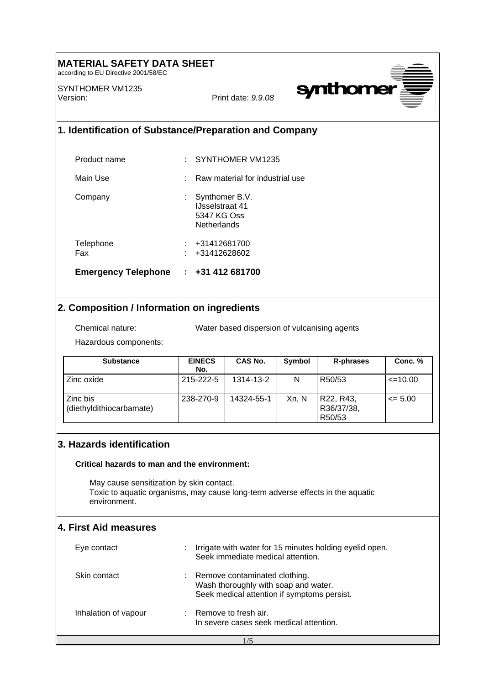# **MATERIAL SAFETY DATA SHEET**

according to EU Directive 2001/58/EC

SYNTHOMER VM1235 Version: Print date: *9.9.08*



### **1. Identification of Substance/Preparation and Company**

| <b>Emergency Telephone</b> | $\div$ +31 412 681700                                                  |
|----------------------------|------------------------------------------------------------------------|
| Telephone<br>Fax           | +31412681700<br>+31412628602                                           |
| Company                    | Synthomer B.V.<br><b>IJsselstraat 41</b><br>5347 KG Oss<br>Netherlands |
| Main Use                   | Raw material for industrial use                                        |
| Product name               | SYNTHOMER VM1235                                                       |

## **2. Composition / Information on ingredients**

Chemical nature: Water based dispersion of vulcanising agents

Hazardous components:

| <b>Substance</b>                     | <b>EINECS</b><br>No. | CAS No.    | Symbol | R-phrases                         | Conc. %      |
|--------------------------------------|----------------------|------------|--------|-----------------------------------|--------------|
| Zinc oxide                           | 215-222-5            | 1314-13-2  | N      | R50/53                            | $\leq$ 10.00 |
| Zinc bis<br>(diethyldithiocarbamate) | 238-270-9            | 14324-55-1 | Xn, N  | R22, R43,<br>R36/37/38,<br>R50/53 | $\leq$ 5.00  |

### **3. Hazards identification**

#### **Critical hazards to man and the environment:**

 May cause sensitization by skin contact. Toxic to aquatic organisms, may cause long-term adverse effects in the aquatic environment.

### **4. First Aid measures**

| Eye contact          | Irrigate with water for 15 minutes holding eyelid open.<br>Seek immediate medical attention.                         |  |
|----------------------|----------------------------------------------------------------------------------------------------------------------|--|
| Skin contact         | Remove contaminated clothing.<br>Wash thoroughly with soap and water.<br>Seek medical attention if symptoms persist. |  |
| Inhalation of vapour | Remove to fresh air.<br>In severe cases seek medical attention.                                                      |  |

1/5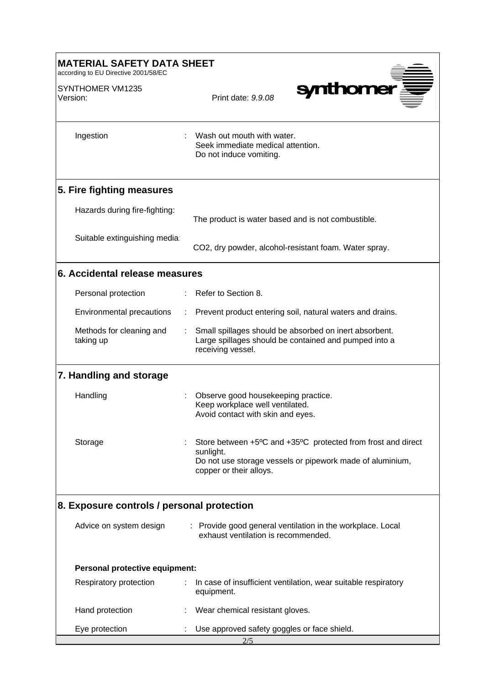| <b>MATERIAL SAFETY DATA SHEET</b><br>according to EU Directive 2001/58/EC |                                                                                                                                                                   |  |  |
|---------------------------------------------------------------------------|-------------------------------------------------------------------------------------------------------------------------------------------------------------------|--|--|
| SYNTHOMER VM1235<br>Version:                                              | synthomer<br>Print date: 9.9.08                                                                                                                                   |  |  |
| Ingestion                                                                 | Wash out mouth with water.<br>Seek immediate medical attention.<br>Do not induce vomiting.                                                                        |  |  |
| 5. Fire fighting measures                                                 |                                                                                                                                                                   |  |  |
| Hazards during fire-fighting:                                             | The product is water based and is not combustible.                                                                                                                |  |  |
| Suitable extinguishing media:                                             | CO2, dry powder, alcohol-resistant foam. Water spray.                                                                                                             |  |  |
| 6. Accidental release measures                                            |                                                                                                                                                                   |  |  |
| Personal protection                                                       | Refer to Section 8.                                                                                                                                               |  |  |
| Environmental precautions                                                 | Prevent product entering soil, natural waters and drains.                                                                                                         |  |  |
| Methods for cleaning and<br>taking up                                     | Small spillages should be absorbed on inert absorbent.<br>Large spillages should be contained and pumped into a<br>receiving vessel.                              |  |  |
| 7. Handling and storage                                                   |                                                                                                                                                                   |  |  |
| Handling                                                                  | Observe good housekeeping practice.<br>Keep workplace well ventilated.<br>Avoid contact with skin and eyes.                                                       |  |  |
| Storage                                                                   | Store between +5°C and +35°C protected from frost and direct<br>sunlight.<br>Do not use storage vessels or pipework made of aluminium,<br>copper or their alloys. |  |  |
| 8. Exposure controls / personal protection                                |                                                                                                                                                                   |  |  |
| Advice on system design                                                   | : Provide good general ventilation in the workplace. Local<br>exhaust ventilation is recommended.                                                                 |  |  |
| Personal protective equipment:                                            |                                                                                                                                                                   |  |  |
| Respiratory protection                                                    | In case of insufficient ventilation, wear suitable respiratory<br>equipment.                                                                                      |  |  |
| Hand protection                                                           | Wear chemical resistant gloves.                                                                                                                                   |  |  |
| Eye protection                                                            | Use approved safety goggles or face shield.<br>2/5                                                                                                                |  |  |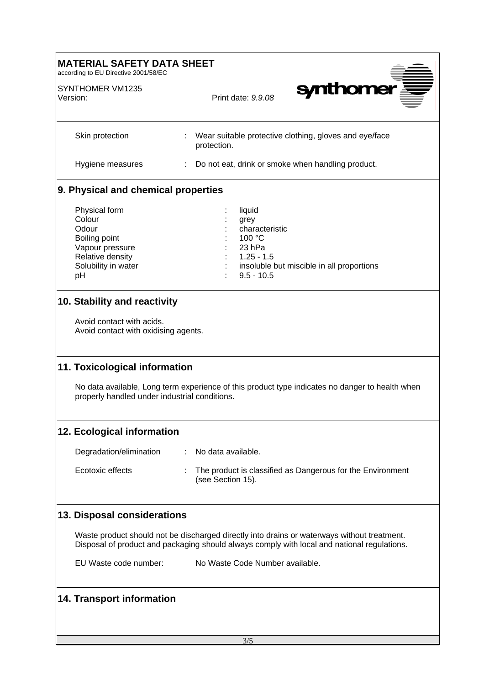| <b>MATERIAL SAFETY DATA SHEET</b><br>according to EU Directive 2001/58/EC                                             |                                                                                                                                                                                            |  |  |
|-----------------------------------------------------------------------------------------------------------------------|--------------------------------------------------------------------------------------------------------------------------------------------------------------------------------------------|--|--|
| SYNTHOMER VM1235<br>Version:                                                                                          | <b>synthome</b><br>Print date: 9.9.08                                                                                                                                                      |  |  |
| Skin protection                                                                                                       | Wear suitable protective clothing, gloves and eye/face<br>÷<br>protection.                                                                                                                 |  |  |
| Hygiene measures                                                                                                      | Do not eat, drink or smoke when handling product.                                                                                                                                          |  |  |
| 9. Physical and chemical properties                                                                                   |                                                                                                                                                                                            |  |  |
| Physical form<br>Colour<br>Odour<br>Boiling point<br>Vapour pressure<br>Relative density<br>Solubility in water<br>pH | liquid<br>grey<br>characteristic<br>100 °C<br>23 hPa<br>$1.25 - 1.5$<br>insoluble but miscible in all proportions<br>$9.5 - 10.5$                                                          |  |  |
| 10. Stability and reactivity<br>Avoid contact with acids.<br>Avoid contact with oxidising agents.                     |                                                                                                                                                                                            |  |  |
| 11. Toxicological information<br>properly handled under industrial conditions.                                        | No data available, Long term experience of this product type indicates no danger to health when                                                                                            |  |  |
| 12. Ecological information                                                                                            |                                                                                                                                                                                            |  |  |
| Degradation/elimination                                                                                               | No data available.                                                                                                                                                                         |  |  |
| Ecotoxic effects                                                                                                      | The product is classified as Dangerous for the Environment<br>(see Section 15).                                                                                                            |  |  |
| 13. Disposal considerations                                                                                           |                                                                                                                                                                                            |  |  |
|                                                                                                                       | Waste product should not be discharged directly into drains or waterways without treatment.<br>Disposal of product and packaging should always comply with local and national regulations. |  |  |
| EU Waste code number:                                                                                                 | No Waste Code Number available.                                                                                                                                                            |  |  |
| <b>14. Transport information</b>                                                                                      |                                                                                                                                                                                            |  |  |
|                                                                                                                       | 3/5                                                                                                                                                                                        |  |  |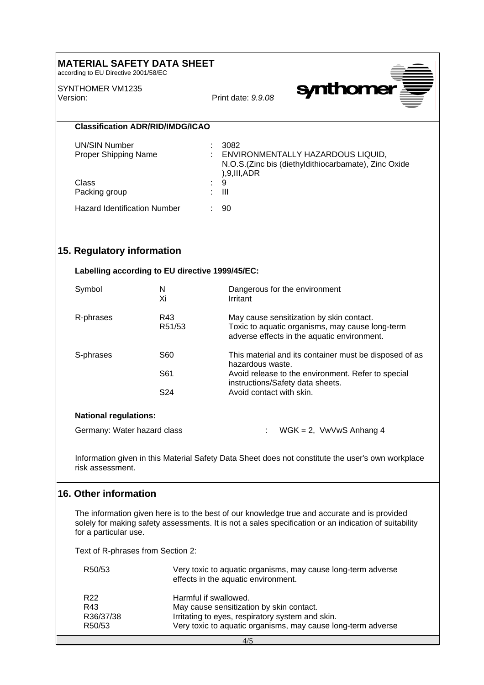## **MATERIAL SAFETY DATA SHEET**

according to EU Directive 2001/58/EC

SYNTHOMER VM1235 Version: Print date: *9.9.08*



**Classification ADR/RID/IMDG/ICAO**

| UN/SIN Number<br><b>Proper Shipping Name</b> |    | 3082<br>ENVIRONMENTALLY HAZARDOUS LIQUID,<br>N.O.S. (Zinc bis (diethyldithiocarbamate), Zinc Oxide<br>), 9, III, ADR |
|----------------------------------------------|----|----------------------------------------------------------------------------------------------------------------------|
| Class                                        | ÷. | -9                                                                                                                   |
| Packing group                                | ÷. | Ш                                                                                                                    |
| <b>Hazard Identification Number</b>          |    | 90                                                                                                                   |

### **15. Regulatory information**

#### **Labelling according to EU directive 1999/45/EC:**

| Symbol    | N<br>Хi         | Dangerous for the environment<br>Irritant                                                                                                                            |
|-----------|-----------------|----------------------------------------------------------------------------------------------------------------------------------------------------------------------|
| R-phrases | R43<br>R51/53   | May cause sensitization by skin contact.<br>Toxic to aquatic organisms, may cause long-term<br>adverse effects in the aquatic environment.                           |
| S-phrases | S60<br>S61      | This material and its container must be disposed of as<br>hazardous waste.<br>Avoid release to the environment. Refer to special<br>instructions/Safety data sheets. |
|           | S <sub>24</sub> | Avoid contact with skin.                                                                                                                                             |

### **National regulations:**

Germany: Water hazard class : WGK = 2, VwVwS Anhang 4

Information given in this Material Safety Data Sheet does not constitute the user's own workplace risk assessment.

### **16. Other information**

The information given here is to the best of our knowledge true and accurate and is provided solely for making safety assessments. It is not a sales specification or an indication of suitability for a particular use.

Text of R-phrases from Section 2:

| R50/53              | Very toxic to aquatic organisms, may cause long-term adverse<br>effects in the aquatic environment. |
|---------------------|-----------------------------------------------------------------------------------------------------|
| R <sub>22</sub>     | Harmful if swallowed.                                                                               |
| R43                 | May cause sensitization by skin contact.                                                            |
| R36/37/38           | Irritating to eyes, respiratory system and skin.                                                    |
| R <sub>50</sub> /53 | Very toxic to aquatic organisms, may cause long-term adverse                                        |